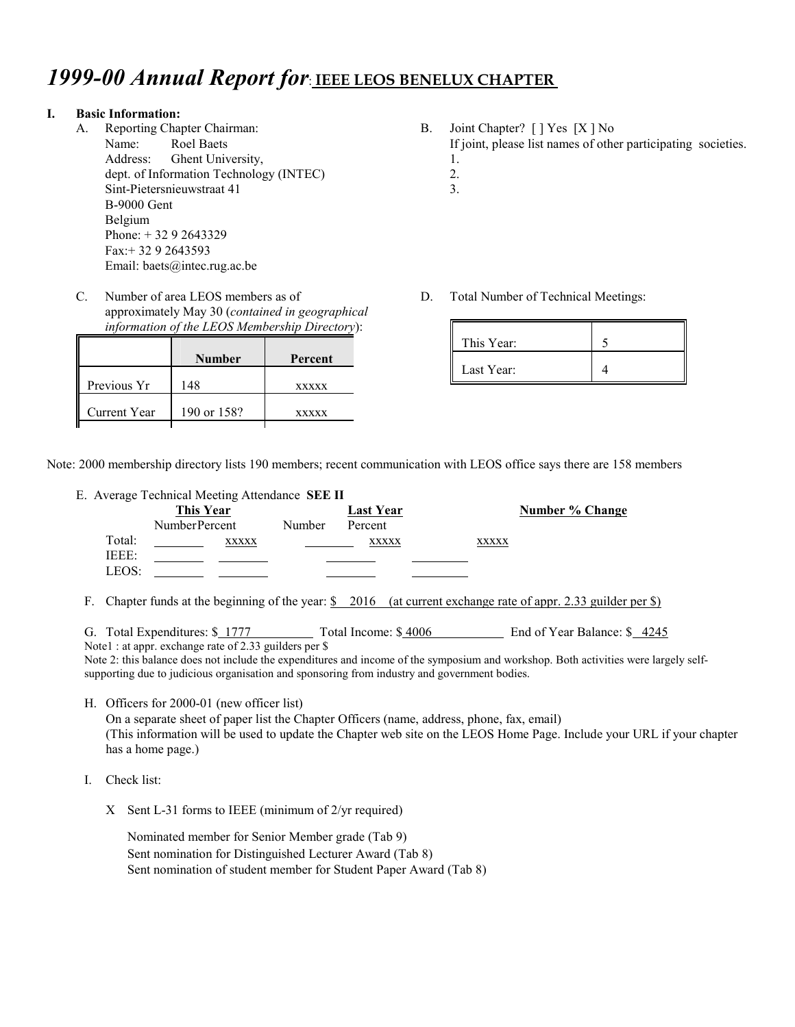# *1999-00 Annual Report for*: **IEEE LEOS BENELUX CHAPTER**

#### **I. Basic Information:**

- A. Reporting Chapter Chairman: Name: Roel Baets Address: Ghent University, dept. of Information Technology (INTEC) Sint-Pietersnieuwstraat 41 B-9000 Gent Belgium Phone: + 32 9 2643329 Fax:+ 32 9 2643593 Email: baets@intec.rug.ac.be
- C. Number of area LEOS members as of approximately May 30 (*contained in geographical information of the LEOS Membership Directory*):

|              | Number      | Percent      |
|--------------|-------------|--------------|
| Previous Yr  | 148         | <b>XXXXX</b> |
| Current Year | 190 or 158? | <b>XXXXX</b> |

- B. Joint Chapter? [ ] Yes [X ] No If joint, please list names of other participating societies. 1.
	- 2.
	- 3.
- D. Total Number of Technical Meetings:

| This Year: |  |
|------------|--|
| Last Year: |  |

Note: 2000 membership directory lists 190 members; recent communication with LEOS office says there are 158 members

E. Average Technical Meeting Attendance **SEE II**

| ັ      | This Year     |        | <b>Last Year</b> |              | Number % Change |
|--------|---------------|--------|------------------|--------------|-----------------|
|        | NumberPercent | Number | Percent          |              |                 |
| Total: | <b>XXXXX</b>  |        | <b>XXXXX</b>     | <b>XXXXX</b> |                 |
| IEEE:  |               |        |                  |              |                 |
| LEOS:  |               |        |                  |              |                 |

F. Chapter funds at the beginning of the year: \$ 2016 (at current exchange rate of appr. 2.33 guilder per \$)

G. Total Expenditures:  $\frac{\$}{1777}$  Total Income:  $\$$  4006 End of Year Balance:  $\$$  4245

Note1 : at appr. exchange rate of 2.33 guilders per \$

Note 2: this balance does not include the expenditures and income of the symposium and workshop. Both activities were largely selfsupporting due to judicious organisation and sponsoring from industry and government bodies.

H. Officers for 2000-01 (new officer list)

On a separate sheet of paper list the Chapter Officers (name, address, phone, fax, email) (This information will be used to update the Chapter web site on the LEOS Home Page. Include your URL if your chapter has a home page.)

- I. Check list:
	- X Sent L-31 forms to IEEE (minimum of 2/yr required)

Nominated member for Senior Member grade (Tab 9) Sent nomination for Distinguished Lecturer Award (Tab 8) Sent nomination of student member for Student Paper Award (Tab 8)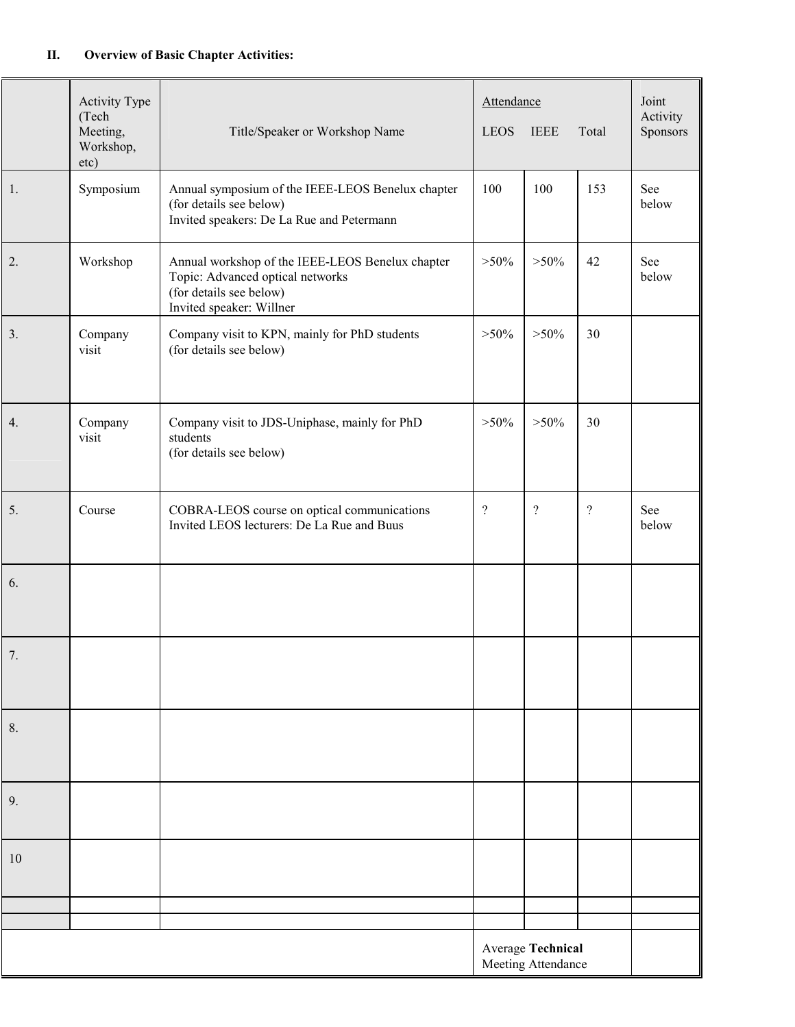#### **II. Overview of Basic Chapter Activities:**

|    | <b>Activity Type</b><br>(Tech<br>Meeting,<br>Workshop,<br>etc) | Title/Speaker or Workshop Name                                                                                                              | Attendance<br><b>IEEE</b><br><b>LEOS</b><br>Total |                                                | Joint<br>Activity<br>Sponsors |              |
|----|----------------------------------------------------------------|---------------------------------------------------------------------------------------------------------------------------------------------|---------------------------------------------------|------------------------------------------------|-------------------------------|--------------|
| 1. | Symposium                                                      | Annual symposium of the IEEE-LEOS Benelux chapter<br>(for details see below)<br>Invited speakers: De La Rue and Petermann                   | 100                                               | 100                                            | 153                           | See<br>below |
| 2. | Workshop                                                       | Annual workshop of the IEEE-LEOS Benelux chapter<br>Topic: Advanced optical networks<br>(for details see below)<br>Invited speaker: Willner |                                                   | $>50\%$                                        | 42                            | See<br>below |
| 3. | Company<br>visit                                               | Company visit to KPN, mainly for PhD students<br>(for details see below)                                                                    | $>50\%$                                           | $>50\%$                                        | 30                            |              |
| 4. | Company<br>visit                                               | Company visit to JDS-Uniphase, mainly for PhD<br>students<br>(for details see below)                                                        | $>50\%$                                           | $>50\%$                                        | 30                            |              |
| 5. | Course                                                         | COBRA-LEOS course on optical communications<br>Invited LEOS lecturers: De La Rue and Buus                                                   | $\overline{?}$                                    | $\overline{\mathcal{L}}$                       | $\overline{?}$                | See<br>below |
| 6. |                                                                |                                                                                                                                             |                                                   |                                                |                               |              |
| 7. |                                                                |                                                                                                                                             |                                                   |                                                |                               |              |
| 8. |                                                                |                                                                                                                                             |                                                   |                                                |                               |              |
| 9. |                                                                |                                                                                                                                             |                                                   |                                                |                               |              |
| 10 |                                                                |                                                                                                                                             |                                                   |                                                |                               |              |
|    |                                                                |                                                                                                                                             |                                                   |                                                |                               |              |
|    |                                                                |                                                                                                                                             |                                                   | <b>Average Technical</b><br>Meeting Attendance |                               |              |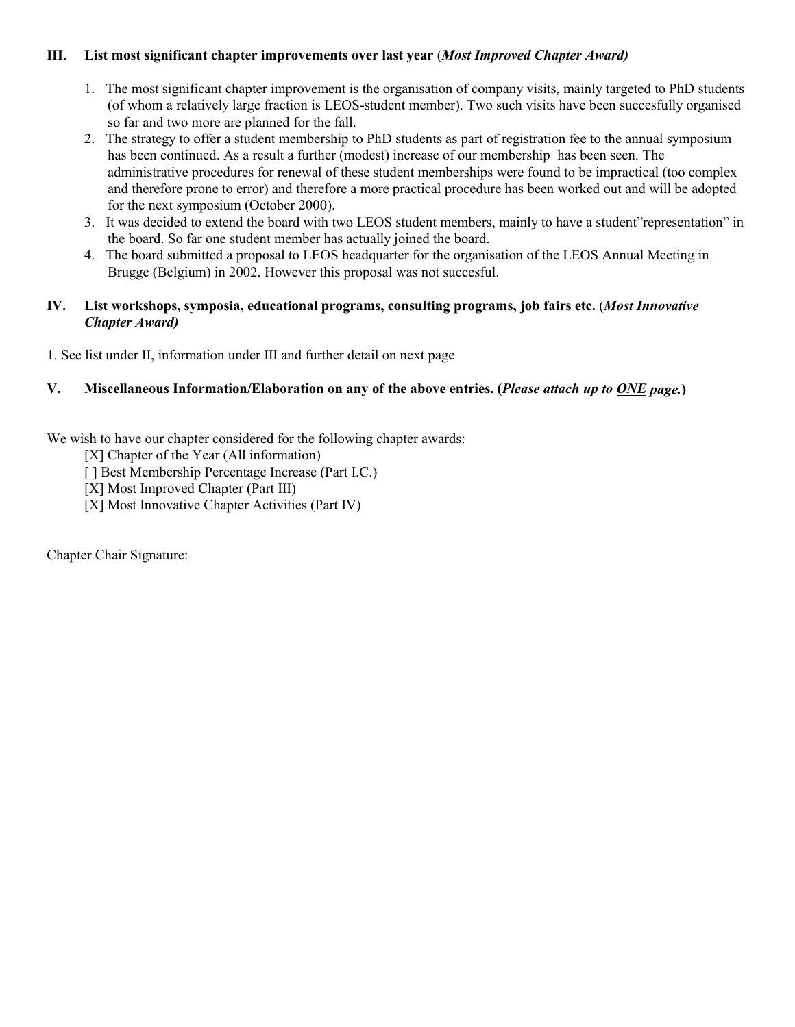#### **III. List most significant chapter improvements over last year** (*Most Improved Chapter Award)*

- 1. The most significant chapter improvement is the organisation of company visits, mainly targeted to PhD students (of whom a relatively large fraction is LEOS-student member). Two such visits have been succesfully organised so far and two more are planned for the fall.
- 2. The strategy to offer a student membership to PhD students as part of registration fee to the annual symposium has been continued. As a result a further (modest) increase of our membership has been seen. The administrative procedures for renewal of these student memberships were found to be impractical (too complex and therefore prone to error) and therefore a more practical procedure has been worked out and will be adopted for the next symposium (October 2000).
- 3. It was decided to extend the board with two LEOS student members, mainly to have a student"representation" in the board. So far one student member has actually joined the board.
- 4. The board submitted a proposal to LEOS headquarter for the organisation of the LEOS Annual Meeting in Brugge (Belgium) in 2002. However this proposal was not succesful.

#### **IV. List workshops, symposia, educational programs, consulting programs, job fairs etc.** (*Most Innovative Chapter Award)*

1. See list under II, information under III and further detail on next page

#### **V. Miscellaneous Information/Elaboration on any of the above entries. (***Please attach up to ONE page.***)**

We wish to have our chapter considered for the following chapter awards:

[X] Chapter of the Year (All information)

[ ] Best Membership Percentage Increase (Part I.C.)

[X] Most Improved Chapter (Part III)

[X] Most Innovative Chapter Activities (Part IV)

Chapter Chair Signature: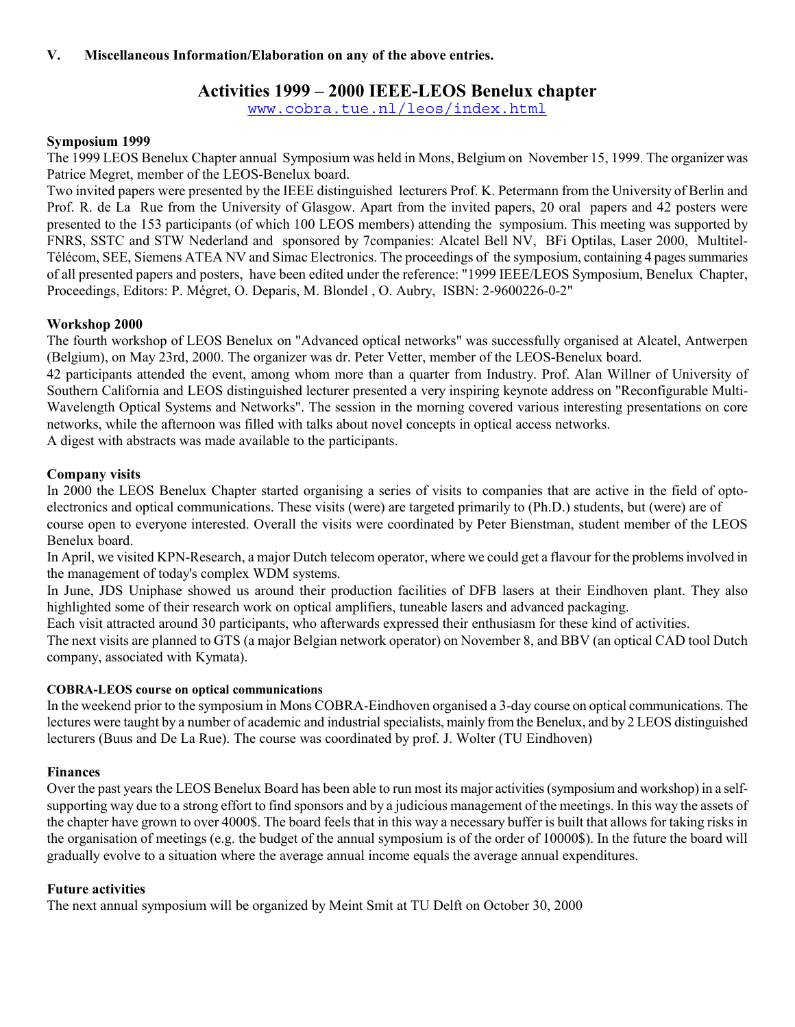#### **V. Miscellaneous Information/Elaboration on any of the above entries.**

## **Activities 1999 – 2000 IEEE-LEOS Benelux chapter**

www.cobra.tue.nl/leos/index.html

#### **Symposium 1999**

The 1999 LEOS Benelux Chapter annual Symposium was held in Mons, Belgium on November 15, 1999. The organizer was Patrice Megret, member of the LEOS-Benelux board.

Two invited papers were presented by the IEEE distinguished lecturers Prof. K. Petermann from the University of Berlin and Prof. R. de La Rue from the University of Glasgow. Apart from the invited papers, 20 oral papers and 42 posters were presented to the 153 participants (of which 100 LEOS members) attending the symposium. This meeting was supported by FNRS, SSTC and STW Nederland and sponsored by 7companies: Alcatel Bell NV, BFi Optilas, Laser 2000, Multitel-Télécom, SEE, Siemens ATEA NV and Simac Electronics. The proceedings of the symposium, containing 4 pages summaries of all presented papers and posters, have been edited under the reference: "1999 IEEE/LEOS Symposium, Benelux Chapter, Proceedings, Editors: P. Mégret, O. Deparis, M. Blondel , O. Aubry, ISBN: 2-9600226-0-2"

#### **Workshop 2000**

The fourth workshop of LEOS Benelux on "Advanced optical networks" was successfully organised at Alcatel, Antwerpen (Belgium), on May 23rd, 2000. The organizer was dr. Peter Vetter, member of the LEOS-Benelux board.

42 participants attended the event, among whom more than a quarter from Industry. Prof. Alan Willner of University of Southern California and LEOS distinguished lecturer presented a very inspiring keynote address on "Reconfigurable Multi-Wavelength Optical Systems and Networks". The session in the morning covered various interesting presentations on core networks, while the afternoon was filled with talks about novel concepts in optical access networks.

A digest with abstracts was made available to the participants.

#### **Company visits**

In 2000 the LEOS Benelux Chapter started organising a series of visits to companies that are active in the field of optoelectronics and optical communications. These visits (were) are targeted primarily to (Ph.D.) students, but (were) are of course open to everyone interested. Overall the visits were coordinated by Peter Bienstman, student member of the LEOS Benelux board.

In April, we visited KPN-Research, a major Dutch telecom operator, where we could get a flavour for the problems involved in the management of today's complex WDM systems.

In June, JDS Uniphase showed us around their production facilities of DFB lasers at their Eindhoven plant. They also highlighted some of their research work on optical amplifiers, tuneable lasers and advanced packaging.

Each visit attracted around 30 participants, who afterwards expressed their enthusiasm for these kind of activities.

The next visits are planned to GTS (a major Belgian network operator) on November 8, and BBV (an optical CAD tool Dutch company, associated with Kymata).

#### **COBRA-LEOS course on optical communications**

In the weekend prior to the symposium in Mons COBRA-Eindhoven organised a 3-day course on optical communications. The lectures were taught by a number of academic and industrial specialists, mainly from the Benelux, and by 2 LEOS distinguished lecturers (Buus and De La Rue). The course was coordinated by prof. J. Wolter (TU Eindhoven)

#### **Finances**

Over the past years the LEOS Benelux Board has been able to run most its major activities (symposium and workshop) in a selfsupporting way due to a strong effort to find sponsors and by a judicious management of the meetings. In this way the assets of the chapter have grown to over 4000\$. The board feels that in this way a necessary buffer is built that allows for taking risks in the organisation of meetings (e.g. the budget of the annual symposium is of the order of 10000\$). In the future the board will gradually evolve to a situation where the average annual income equals the average annual expenditures.

#### **Future activities**

The next annual symposium will be organized by Meint Smit at TU Delft on October 30, 2000